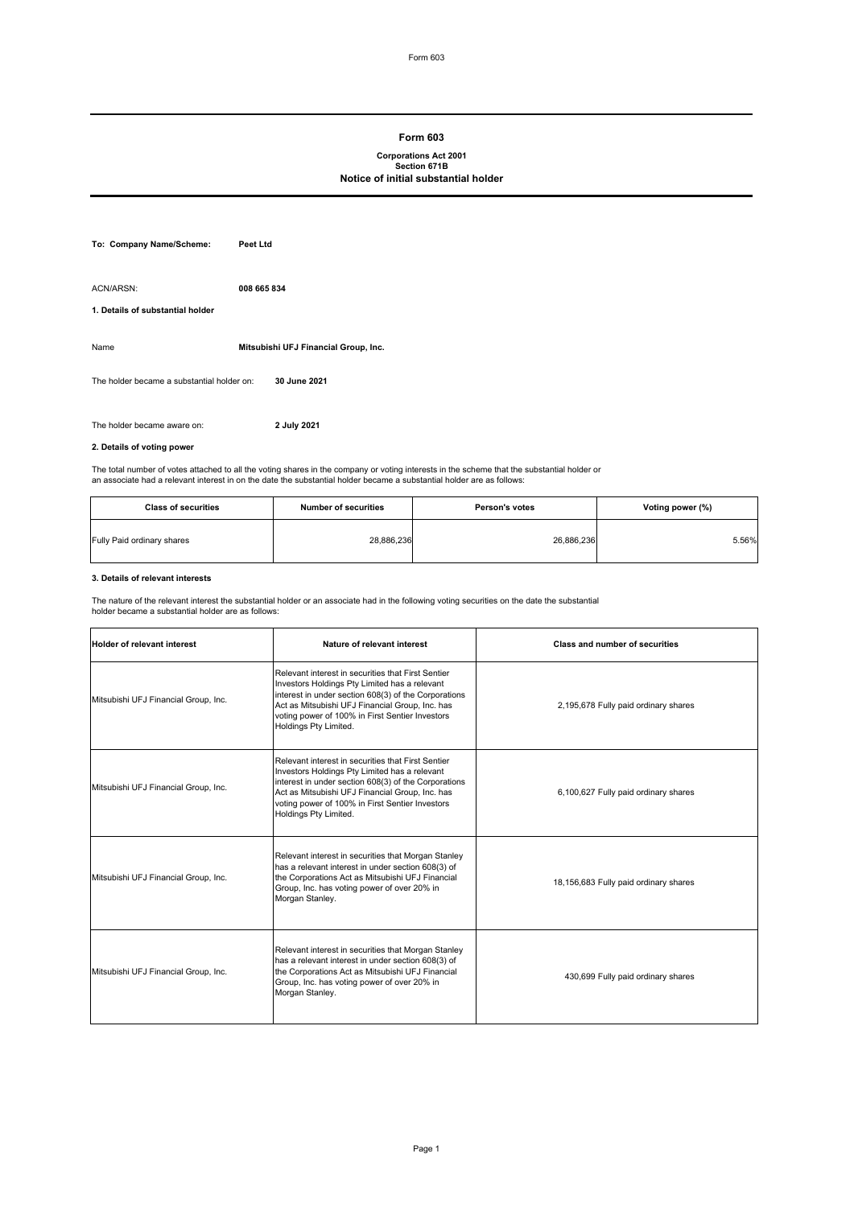#### **Form 603**

# **Corporations Act 2001 Section 671B Notice of initial substantial holder**

| To: Company Name/Scheme:                      | Peet Ltd                             |
|-----------------------------------------------|--------------------------------------|
| ACN/ARSN:<br>1. Details of substantial holder | 008 665 834                          |
| Name                                          | Mitsubishi UFJ Financial Group, Inc. |
| The holder became a substantial holder on:    | 30 June 2021                         |
| The holder became aware on:                   | 2 July 2021                          |

# **2. Details of voting power**

The total number of votes attached to all the voting shares in the company or voting interests in the scheme that the substantial holder or<br>an associate had a relevant interest in on the date the substantial holder became

| <b>Class of securities</b> | <b>Number of securities</b> | <b>Person's votes</b> | Voting power (%) |
|----------------------------|-----------------------------|-----------------------|------------------|
| Fully Paid ordinary shares | 28,886,236                  | 26,886,236            | 5.56%            |

#### **3. Details of relevant interests**

The nature of the relevant interest the substantial holder or an associate had in the following voting securities on the date the substantial holder became a substantial holder are as follows:

| <b>Holder of relevant interest</b>   | Nature of relevant interest                                                                                                                                                                                                                                                                | <b>Class and number of securities</b> |
|--------------------------------------|--------------------------------------------------------------------------------------------------------------------------------------------------------------------------------------------------------------------------------------------------------------------------------------------|---------------------------------------|
| Mitsubishi UFJ Financial Group, Inc. | Relevant interest in securities that First Sentier<br>Investors Holdings Pty Limited has a relevant<br>interest in under section 608(3) of the Corporations<br>Act as Mitsubishi UFJ Financial Group, Inc. has<br>voting power of 100% in First Sentier Investors<br>Holdings Pty Limited. | 2,195,678 Fully paid ordinary shares  |
| Mitsubishi UFJ Financial Group, Inc. | Relevant interest in securities that First Sentier<br>Investors Holdings Pty Limited has a relevant<br>interest in under section 608(3) of the Corporations<br>Act as Mitsubishi UFJ Financial Group, Inc. has<br>voting power of 100% in First Sentier Investors<br>Holdings Pty Limited. | 6,100,627 Fully paid ordinary shares  |
| Mitsubishi UFJ Financial Group, Inc. | Relevant interest in securities that Morgan Stanley<br>has a relevant interest in under section 608(3) of<br>the Corporations Act as Mitsubishi UFJ Financial<br>Group, Inc. has voting power of over 20% in<br>Morgan Stanley.                                                            | 18,156,683 Fully paid ordinary shares |
| Mitsubishi UFJ Financial Group, Inc. | Relevant interest in securities that Morgan Stanley<br>has a relevant interest in under section 608(3) of<br>the Corporations Act as Mitsubishi UFJ Financial<br>Group, Inc. has voting power of over 20% in<br>Morgan Stanley.                                                            | 430,699 Fully paid ordinary shares    |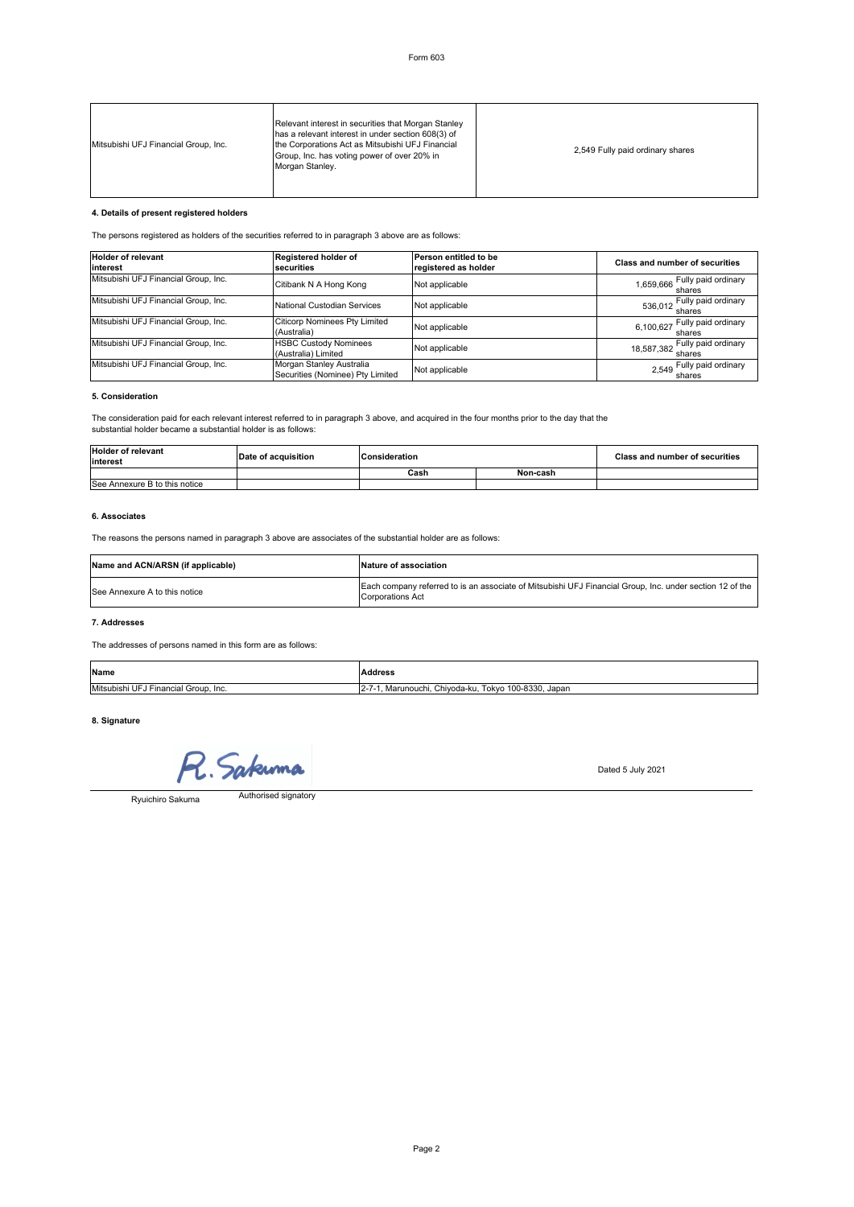| Mitsubishi UFJ Financial Group, Inc. | Relevant interest in securities that Morgan Stanley<br>has a relevant interest in under section 608(3) of<br>the Corporations Act as Mitsubishi UFJ Financial<br>Group, Inc. has voting power of over 20% in<br>Morgan Stanley. | 2,549 Fully paid ordinary shares |
|--------------------------------------|---------------------------------------------------------------------------------------------------------------------------------------------------------------------------------------------------------------------------------|----------------------------------|
|--------------------------------------|---------------------------------------------------------------------------------------------------------------------------------------------------------------------------------------------------------------------------------|----------------------------------|

# **4. Details of present registered holders**

The persons registered as holders of the securities referred to in paragraph 3 above are as follows:

| <b>Holder of relevant</b><br>interest | Registered holder of<br>securities                           | Person entitled to be<br>registered as holder | <b>Class and number of securities</b>   |
|---------------------------------------|--------------------------------------------------------------|-----------------------------------------------|-----------------------------------------|
| Mitsubishi UFJ Financial Group, Inc.  | Citibank N A Hong Kong                                       | Not applicable                                | 1,659,666 Fully paid ordinary           |
| Mitsubishi UFJ Financial Group, Inc.  | National Custodian Services                                  | Not applicable                                | 536,012 Fully paid ordinary<br>shares   |
| Mitsubishi UFJ Financial Group, Inc.  | Citicorp Nominees Pty Limited<br>(Australia)                 | Not applicable                                | 6,100,627 Fully paid ordinary<br>shares |
| Mitsubishi UFJ Financial Group, Inc.  | <b>HSBC Custody Nominees</b><br>(Australia) Limited          | Not applicable                                | 18,587,382 Fully paid ordinary          |
| Mitsubishi UFJ Financial Group, Inc.  | Morgan Stanley Australia<br>Securities (Nominee) Pty Limited | Not applicable                                | 2,549 Fully paid ordinary<br>shares     |

#### **5. Consideration**

The consideration paid for each relevant interest referred to in paragraph 3 above, and acquired in the four months prior to the day that the substantial holder became a substantial holder is as follows:

| <b>Holder of relevant</b><br>interest | Date of acquisition | Consideration |          | <b>Class and number of securities</b> |
|---------------------------------------|---------------------|---------------|----------|---------------------------------------|
|                                       |                     | Cash          | Non-cash |                                       |
| See Annexure B to this notice         |                     |               |          |                                       |

# **6. Associates**

The reasons the persons named in paragraph 3 above are associates of the substantial holder are as follows:

| Name and ACN/ARSN (if applicable) | Nature of association                                                                                                               |
|-----------------------------------|-------------------------------------------------------------------------------------------------------------------------------------|
| See Annexure A to this notice     | Each company referred to is an associate of Mitsubishi UFJ Financial Group, Inc. under section 12 of the<br><b>Corporations Act</b> |

# **7. Addresses**

The addresses of persons named in this form are as follows:

| Name                                    |                                                                      |
|-----------------------------------------|----------------------------------------------------------------------|
| Mitsubishi UFJ<br>Financial Group. Inc. | Tokyo 100-8330.<br>. Japar<br>Chivoda-ku.<br>Marunouchi.<br>$12 - 1$ |

#### **8. Signature**

R. Sakuma

Ryuichiro Sakuma

Authorised signatory

Dated 5 July 2021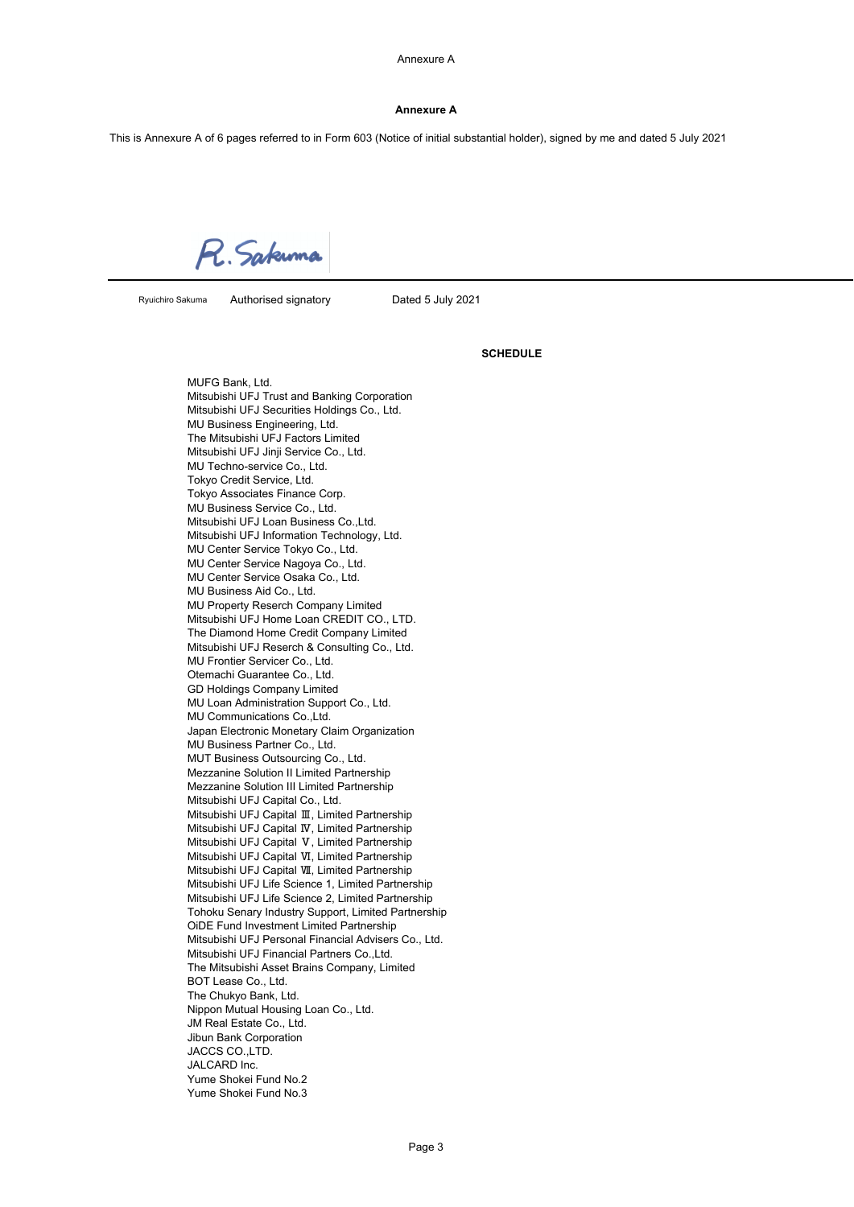# **Annexure A**

This is Annexure A of 6 pages referred to in Form 603 (Notice of initial substantial holder), signed by me and dated 5 July 2021

R. Sakuma

Ryuichiro Sakuma

Authorised signatory Dated 5 July 2021

#### **SCHEDULE**

MUFG Bank, Ltd. Mitsubishi UFJ Trust and Banking Corporation Mitsubishi UFJ Securities Holdings Co., Ltd. MU Business Engineering, Ltd. The Mitsubishi UFJ Factors Limited Mitsubishi UFJ Jinji Service Co., Ltd. MU Techno-service Co., Ltd. Tokyo Credit Service, Ltd. Tokyo Associates Finance Corp. MU Business Service Co., Ltd. Mitsubishi UFJ Loan Business Co.,Ltd. Mitsubishi UFJ Information Technology, Ltd. MU Center Service Tokyo Co., Ltd. MU Center Service Nagoya Co., Ltd. MU Center Service Osaka Co., Ltd. MU Business Aid Co., Ltd. MU Property Reserch Company Limited Mitsubishi UFJ Home Loan CREDIT CO., LTD. The Diamond Home Credit Company Limited Mitsubishi UFJ Reserch & Consulting Co., Ltd. MU Frontier Servicer Co., Ltd. Otemachi Guarantee Co., Ltd. GD Holdings Company Limited MU Loan Administration Support Co., Ltd. MU Communications Co.,Ltd. Japan Electronic Monetary Claim Organization MU Business Partner Co., Ltd. MUT Business Outsourcing Co., Ltd. Mezzanine Solution II Limited Partnership Mezzanine Solution III Limited Partnership Mitsubishi UFJ Capital Co., Ltd. Mitsubishi UFJ Capital Ⅲ, Limited Partnership Mitsubishi UFJ Capital Ⅳ, Limited Partnership Mitsubishi UFJ Capital Ⅴ, Limited Partnership Mitsubishi UFJ Capital Ⅵ, Limited Partnership Mitsubishi UFJ Capital Ⅶ, Limited Partnership Mitsubishi UFJ Life Science 1, Limited Partnership Mitsubishi UFJ Life Science 2, Limited Partnership Tohoku Senary Industry Support, Limited Partnership OiDE Fund Investment Limited Partnership Mitsubishi UFJ Personal Financial Advisers Co., Ltd. Mitsubishi UFJ Financial Partners Co.,Ltd. The Mitsubishi Asset Brains Company, Limited BOT Lease Co., Ltd. The Chukyo Bank, Ltd. Nippon Mutual Housing Loan Co., Ltd. JM Real Estate Co., Ltd. Jibun Bank Corporation JACCS CO.,LTD. JALCARD Inc. Yume Shokei Fund No.2 Yume Shokei Fund No.3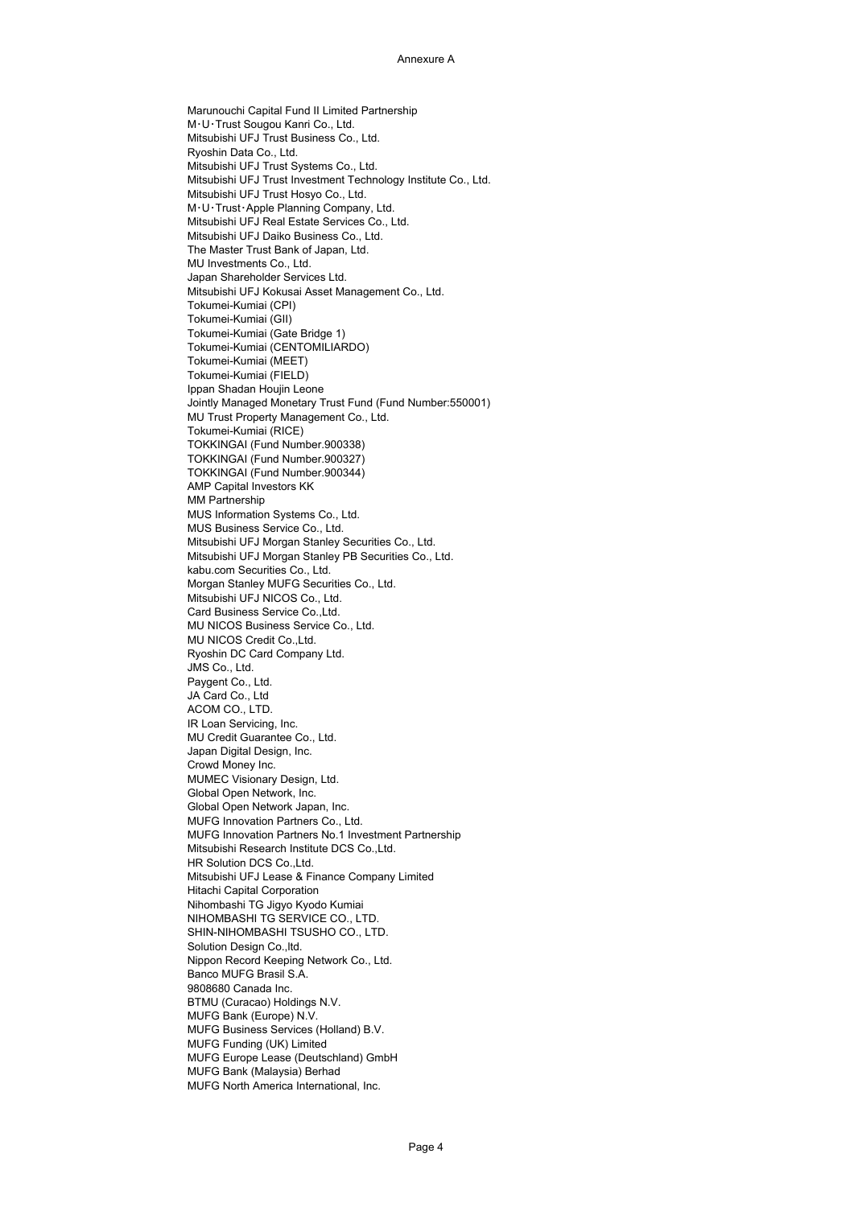Marunouchi Capital Fund II Limited Partnership M・U・Trust Sougou Kanri Co., Ltd. Mitsubishi UFJ Trust Business Co., Ltd. Ryoshin Data Co., Ltd. Mitsubishi UFJ Trust Systems Co., Ltd. Mitsubishi UFJ Trust Investment Technology Institute Co., Ltd. Mitsubishi UFJ Trust Hosyo Co., Ltd. M・U・Trust・Apple Planning Company, Ltd. Mitsubishi UFJ Real Estate Services Co., Ltd. Mitsubishi UFJ Daiko Business Co., Ltd. The Master Trust Bank of Japan, Ltd. MU Investments Co., Ltd. Japan Shareholder Services Ltd. Mitsubishi UFJ Kokusai Asset Management Co., Ltd. Tokumei-Kumiai (CPI) Tokumei-Kumiai (GII) Tokumei-Kumiai (Gate Bridge 1) Tokumei-Kumiai (CENTOMILIARDO) Tokumei-Kumiai (MEET) Tokumei-Kumiai (FIELD) Ippan Shadan Houjin Leone Jointly Managed Monetary Trust Fund (Fund Number:550001) MU Trust Property Management Co., Ltd. Tokumei-Kumiai (RICE) TOKKINGAI (Fund Number.900338) TOKKINGAI (Fund Number.900327) TOKKINGAI (Fund Number.900344) AMP Capital Investors KK MM Partnership MUS Information Systems Co., Ltd. MUS Business Service Co., Ltd. Mitsubishi UFJ Morgan Stanley Securities Co., Ltd. Mitsubishi UFJ Morgan Stanley PB Securities Co., Ltd. kabu.com Securities Co., Ltd. Morgan Stanley MUFG Securities Co., Ltd. Mitsubishi UFJ NICOS Co., Ltd. Card Business Service Co.,Ltd. MU NICOS Business Service Co., Ltd. MU NICOS Credit Co.,Ltd. Ryoshin DC Card Company Ltd. JMS Co., Ltd. Paygent Co., Ltd. JA Card Co., Ltd ACOM CO., LTD. IR Loan Servicing, Inc. MU Credit Guarantee Co., Ltd. Japan Digital Design, Inc. Crowd Money Inc. MUMEC Visionary Design, Ltd. Global Open Network, Inc. Global Open Network Japan, Inc. MUFG Innovation Partners Co., Ltd. MUFG Innovation Partners No.1 Investment Partnership Mitsubishi Research Institute DCS Co.,Ltd. HR Solution DCS Co.,Ltd. Mitsubishi UFJ Lease & Finance Company Limited Hitachi Capital Corporation Nihombashi TG Jigyo Kyodo Kumiai NIHOMBASHI TG SERVICE CO., LTD. SHIN-NIHOMBASHI TSUSHO CO., LTD. Solution Design Co.,ltd. Nippon Record Keeping Network Co., Ltd. Banco MUFG Brasil S.A. 9808680 Canada Inc. BTMU (Curacao) Holdings N.V. MUFG Bank (Europe) N.V. MUFG Business Services (Holland) B.V. MUFG Funding (UK) Limited MUFG Europe Lease (Deutschland) GmbH MUFG Bank (Malaysia) Berhad MUFG North America International, Inc.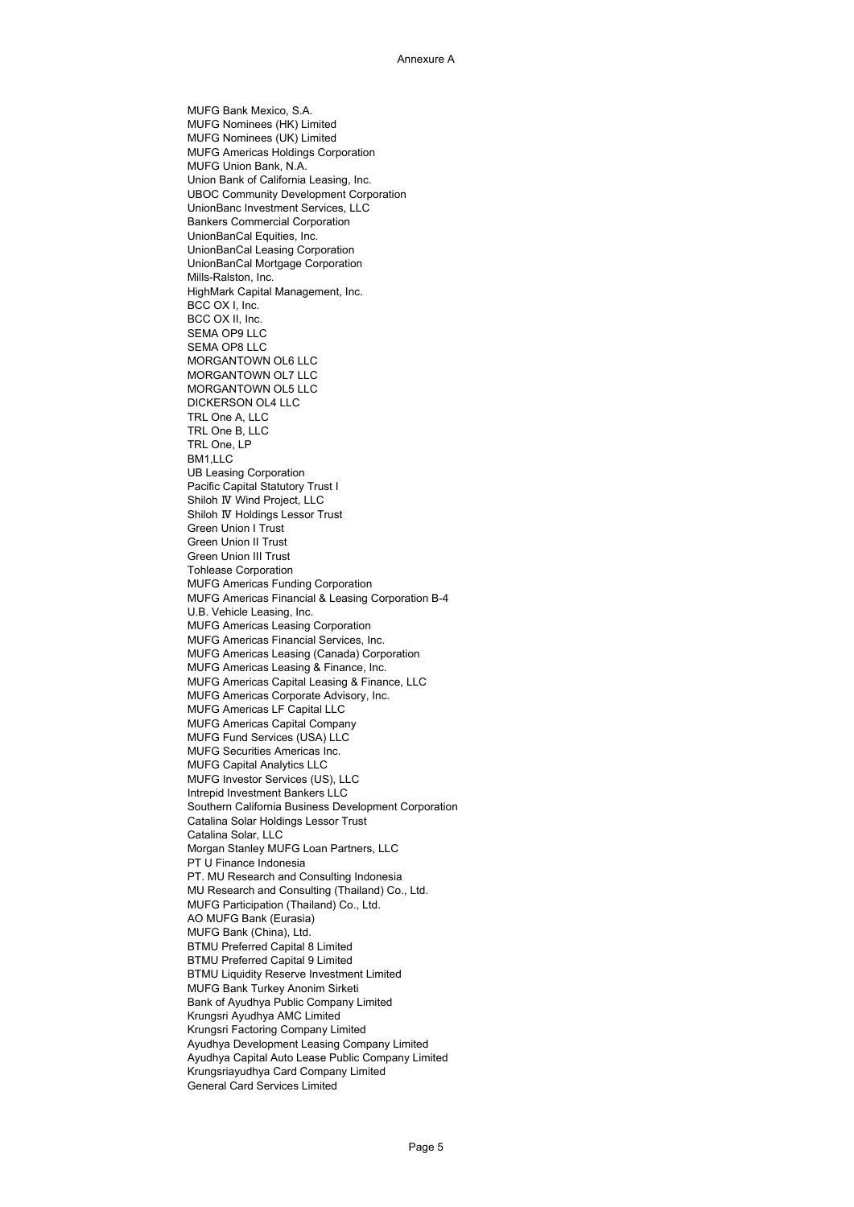MUFG Bank Mexico, S.A. MUFG Nominees (HK) Limited MUFG Nominees (UK) Limited MUFG Americas Holdings Corporation MUFG Union Bank, N.A. Union Bank of California Leasing, Inc. UBOC Community Development Corporation UnionBanc Investment Services, LLC Bankers Commercial Corporation UnionBanCal Equities, Inc. UnionBanCal Leasing Corporation UnionBanCal Mortgage Corporation Mills-Ralston, Inc. HighMark Capital Management, Inc. BCC OX I, Inc. BCC OX II, Inc. SEMA OP9 LLC SEMA OP8 LLC MORGANTOWN OL6 LLC MORGANTOWN OL7 LLC MORGANTOWN OL5 LLC DICKERSON OL4 LLC TRL One A, LLC TRL One B, LLC TRL One, LP BM1,LLC UB Leasing Corporation Pacific Capital Statutory Trust I Shiloh Ⅳ Wind Project, LLC Shiloh Ⅳ Holdings Lessor Trust Green Union I Trust Green Union II Trust Green Union III Trust Tohlease Corporation MUFG Americas Funding Corporation MUFG Americas Financial & Leasing Corporation B-4 U.B. Vehicle Leasing, Inc. MUFG Americas Leasing Corporation MUFG Americas Financial Services, Inc. MUFG Americas Leasing (Canada) Corporation MUFG Americas Leasing & Finance, Inc. MUFG Americas Capital Leasing & Finance, LLC MUFG Americas Corporate Advisory, Inc. MUFG Americas LF Capital LLC MUFG Americas Capital Company MUFG Fund Services (USA) LLC MUFG Securities Americas Inc. MUFG Capital Analytics LLC MUFG Investor Services (US), LLC Intrepid Investment Bankers LLC Southern California Business Development Corporation Catalina Solar Holdings Lessor Trust Catalina Solar, LLC Morgan Stanley MUFG Loan Partners, LLC PT U Finance Indonesia PT. MU Research and Consulting Indonesia MU Research and Consulting (Thailand) Co., Ltd. MUFG Participation (Thailand) Co., Ltd. AO MUFG Bank (Eurasia) MUFG Bank (China), Ltd. BTMU Preferred Capital 8 Limited BTMU Preferred Capital 9 Limited BTMU Liquidity Reserve Investment Limited MUFG Bank Turkey Anonim Sirketi Bank of Ayudhya Public Company Limited Krungsri Ayudhya AMC Limited Krungsri Factoring Company Limited Ayudhya Development Leasing Company Limited Ayudhya Capital Auto Lease Public Company Limited Krungsriayudhya Card Company Limited General Card Services Limited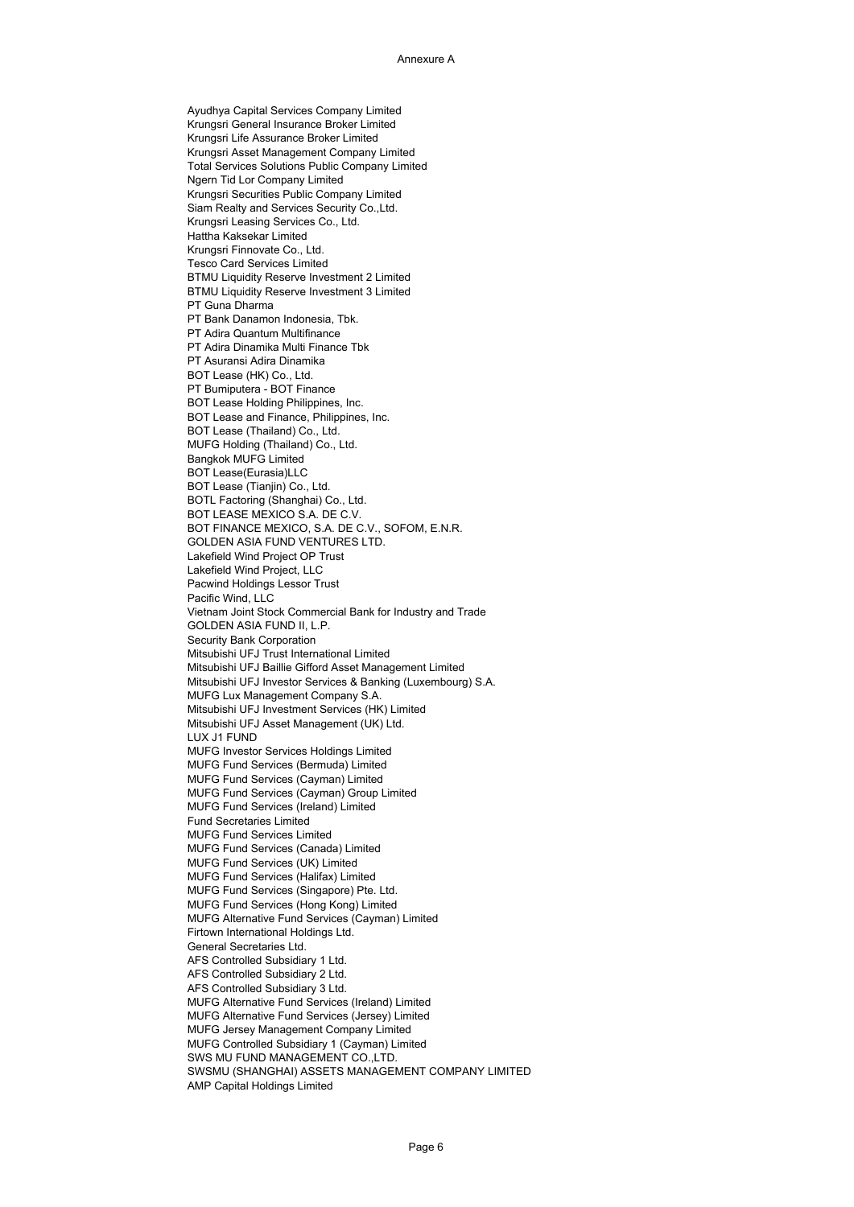Ayudhya Capital Services Company Limited Krungsri General Insurance Broker Limited Krungsri Life Assurance Broker Limited Krungsri Asset Management Company Limited Total Services Solutions Public Company Limited Ngern Tid Lor Company Limited Krungsri Securities Public Company Limited Siam Realty and Services Security Co.,Ltd. Krungsri Leasing Services Co., Ltd. Hattha Kaksekar Limited Krungsri Finnovate Co., Ltd. Tesco Card Services Limited BTMU Liquidity Reserve Investment 2 Limited BTMU Liquidity Reserve Investment 3 Limited PT Guna Dharma PT Bank Danamon Indonesia, Tbk. PT Adira Quantum Multifinance PT Adira Dinamika Multi Finance Tbk PT Asuransi Adira Dinamika BOT Lease (HK) Co., Ltd. PT Bumiputera - BOT Finance BOT Lease Holding Philippines, Inc. BOT Lease and Finance, Philippines, Inc. BOT Lease (Thailand) Co., Ltd. MUFG Holding (Thailand) Co., Ltd. Bangkok MUFG Limited BOT Lease(Eurasia)LLC BOT Lease (Tianjin) Co., Ltd. BOTL Factoring (Shanghai) Co., Ltd. BOT LEASE MEXICO S.A. DE C.V. BOT FINANCE MEXICO, S.A. DE C.V., SOFOM, E.N.R. GOLDEN ASIA FUND VENTURES LTD. Lakefield Wind Project OP Trust Lakefield Wind Project, LLC Pacwind Holdings Lessor Trust Pacific Wind, LLC Vietnam Joint Stock Commercial Bank for Industry and Trade GOLDEN ASIA FUND II, L.P. Security Bank Corporation Mitsubishi UFJ Trust International Limited Mitsubishi UFJ Baillie Gifford Asset Management Limited Mitsubishi UFJ Investor Services & Banking (Luxembourg) S.A. MUFG Lux Management Company S.A. Mitsubishi UFJ Investment Services (HK) Limited Mitsubishi UFJ Asset Management (UK) Ltd. LUX J1 FUND MUFG Investor Services Holdings Limited MUFG Fund Services (Bermuda) Limited MUFG Fund Services (Cayman) Limited MUFG Fund Services (Cayman) Group Limited MUFG Fund Services (Ireland) Limited Fund Secretaries Limited MUFG Fund Services Limited MUFG Fund Services (Canada) Limited MUFG Fund Services (UK) Limited MUFG Fund Services (Halifax) Limited MUFG Fund Services (Singapore) Pte. Ltd. MUFG Fund Services (Hong Kong) Limited MUFG Alternative Fund Services (Cayman) Limited Firtown International Holdings Ltd. General Secretaries Ltd. AFS Controlled Subsidiary 1 Ltd. AFS Controlled Subsidiary 2 Ltd. AFS Controlled Subsidiary 3 Ltd. MUFG Alternative Fund Services (Ireland) Limited MUFG Alternative Fund Services (Jersey) Limited MUFG Jersey Management Company Limited MUFG Controlled Subsidiary 1 (Cayman) Limited SWS MU FUND MANAGEMENT CO.,LTD. SWSMU (SHANGHAI) ASSETS MANAGEMENT COMPANY LIMITED AMP Capital Holdings Limited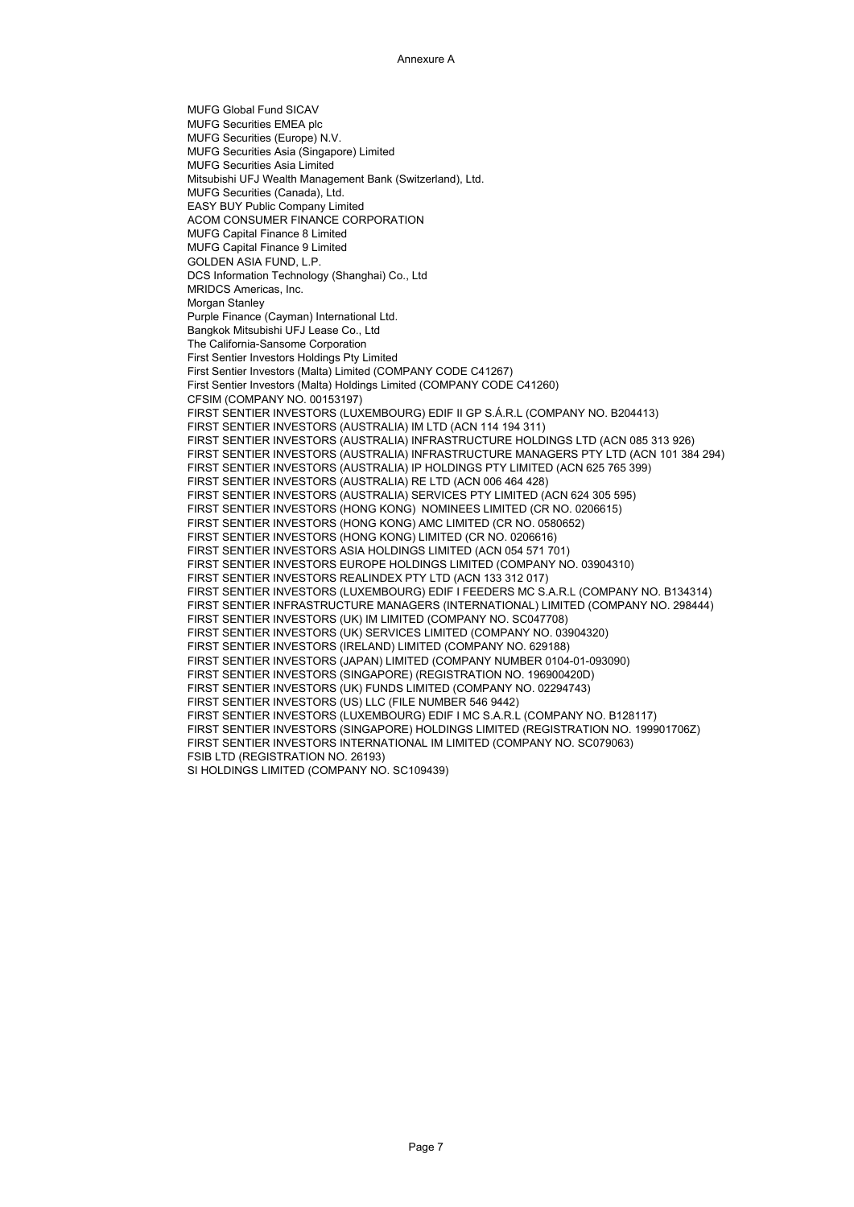MUFG Global Fund SICAV MUFG Securities EMEA plc MUFG Securities (Europe) N.V. MUFG Securities Asia (Singapore) Limited MUFG Securities Asia Limited Mitsubishi UFJ Wealth Management Bank (Switzerland), Ltd. MUFG Securities (Canada), Ltd. EASY BUY Public Company Limited ACOM CONSUMER FINANCE CORPORATION MUFG Capital Finance 8 Limited MUFG Capital Finance 9 Limited GOLDEN ASIA FUND, L.P. DCS Information Technology (Shanghai) Co., Ltd MRIDCS Americas, Inc. Morgan Stanley Purple Finance (Cayman) International Ltd. Bangkok Mitsubishi UFJ Lease Co., Ltd The California-Sansome Corporation First Sentier Investors Holdings Pty Limited First Sentier Investors (Malta) Limited (COMPANY CODE C41267) First Sentier Investors (Malta) Holdings Limited (COMPANY CODE C41260) CFSIM (COMPANY NO. 00153197) FIRST SENTIER INVESTORS (LUXEMBOURG) EDIF II GP S.Á.R.L (COMPANY NO. B204413) FIRST SENTIER INVESTORS (AUSTRALIA) IM LTD (ACN 114 194 311) FIRST SENTIER INVESTORS (AUSTRALIA) INFRASTRUCTURE HOLDINGS LTD (ACN 085 313 926) FIRST SENTIER INVESTORS (AUSTRALIA) INFRASTRUCTURE MANAGERS PTY LTD (ACN 101 384 294) FIRST SENTIER INVESTORS (AUSTRALIA) IP HOLDINGS PTY LIMITED (ACN 625 765 399) FIRST SENTIER INVESTORS (AUSTRALIA) RE LTD (ACN 006 464 428) FIRST SENTIER INVESTORS (AUSTRALIA) SERVICES PTY LIMITED (ACN 624 305 595) FIRST SENTIER INVESTORS (HONG KONG) NOMINEES LIMITED (CR NO. 0206615) FIRST SENTIER INVESTORS (HONG KONG) AMC LIMITED (CR NO. 0580652) FIRST SENTIER INVESTORS (HONG KONG) LIMITED (CR NO. 0206616) FIRST SENTIER INVESTORS ASIA HOLDINGS LIMITED (ACN 054 571 701) FIRST SENTIER INVESTORS EUROPE HOLDINGS LIMITED (COMPANY NO. 03904310) FIRST SENTIER INVESTORS REALINDEX PTY LTD (ACN 133 312 017) FIRST SENTIER INVESTORS (LUXEMBOURG) EDIF I FEEDERS MC S.A.R.L (COMPANY NO. B134314) FIRST SENTIER INFRASTRUCTURE MANAGERS (INTERNATIONAL) LIMITED (COMPANY NO. 298444) FIRST SENTIER INVESTORS (UK) IM LIMITED (COMPANY NO. SC047708) FIRST SENTIER INVESTORS (UK) SERVICES LIMITED (COMPANY NO. 03904320) FIRST SENTIER INVESTORS (IRELAND) LIMITED (COMPANY NO. 629188) FIRST SENTIER INVESTORS (JAPAN) LIMITED (COMPANY NUMBER 0104-01-093090) FIRST SENTIER INVESTORS (SINGAPORE) (REGISTRATION NO. 196900420D) FIRST SENTIER INVESTORS (UK) FUNDS LIMITED (COMPANY NO. 02294743) FIRST SENTIER INVESTORS (US) LLC (FILE NUMBER 546 9442) FIRST SENTIER INVESTORS (LUXEMBOURG) EDIF I MC S.A.R.L (COMPANY NO. B128117) FIRST SENTIER INVESTORS (SINGAPORE) HOLDINGS LIMITED (REGISTRATION NO. 199901706Z) FIRST SENTIER INVESTORS INTERNATIONAL IM LIMITED (COMPANY NO. SC079063) FSIB LTD (REGISTRATION NO. 26193) SI HOLDINGS LIMITED (COMPANY NO. SC109439)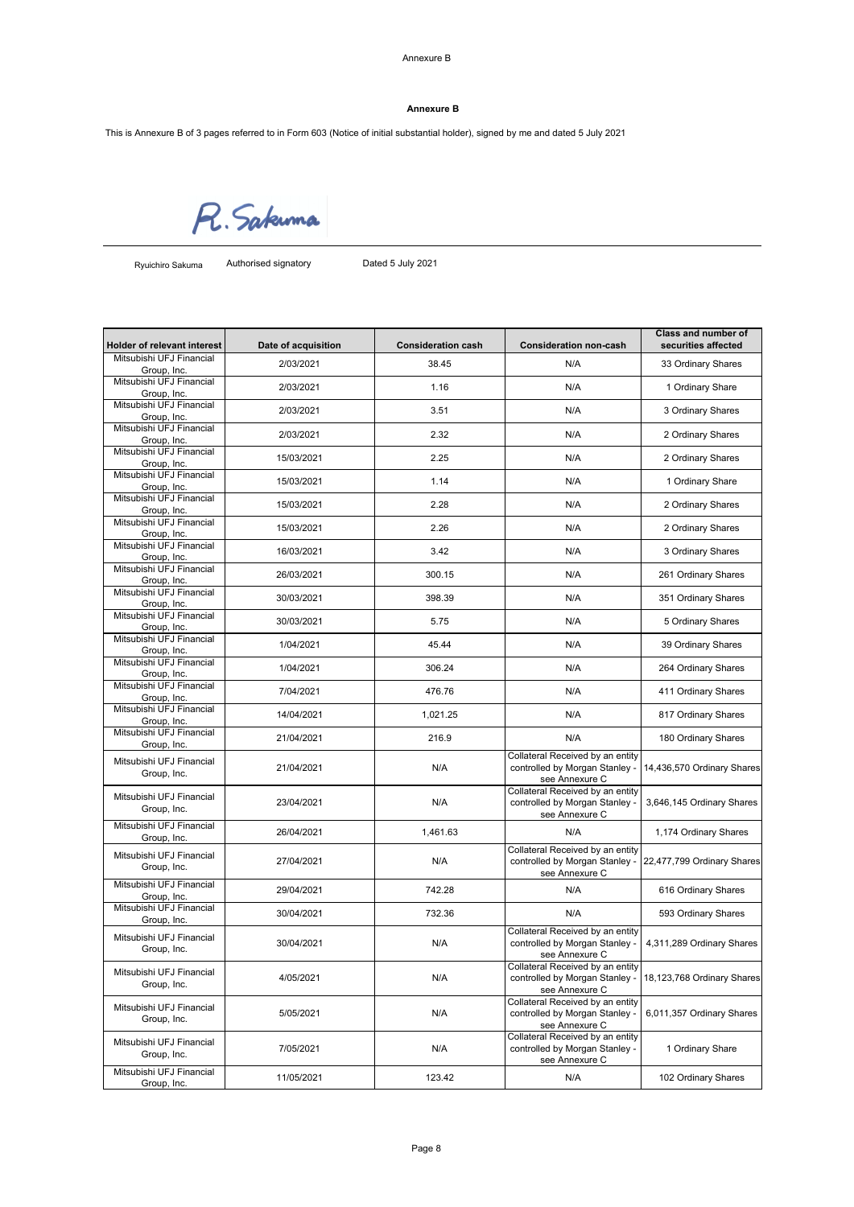Annexure B

# **Annexure B**

This is Annexure B of 3 pages referred to in Form 603 (Notice of initial substantial holder), signed by me and dated 5 July 2021

R. Sakuma

Ryuichiro Sakuma

Authorised signatory Dated 5 July 2021

| <b>Holder of relevant interest</b>      | Date of acquisition | <b>Consideration cash</b> | <b>Consideration non-cash</b>                                                        | <b>Class and number of</b><br>securities affected |
|-----------------------------------------|---------------------|---------------------------|--------------------------------------------------------------------------------------|---------------------------------------------------|
| Mitsubishi UFJ Financial<br>Group, Inc. | 2/03/2021           | 38.45                     | N/A                                                                                  | 33 Ordinary Shares                                |
| Mitsubishi UFJ Financial                | 2/03/2021           | 1.16                      | N/A                                                                                  | 1 Ordinary Share                                  |
| Group, Inc.<br>Mitsubishi UFJ Financial |                     |                           |                                                                                      |                                                   |
| Group, Inc.                             | 2/03/2021           | 3.51                      | N/A                                                                                  | 3 Ordinary Shares                                 |
| Mitsubishi UFJ Financial<br>Group, Inc. | 2/03/2021           | 2.32                      | N/A                                                                                  | 2 Ordinary Shares                                 |
| Mitsubishi UFJ Financial<br>Group, Inc. | 15/03/2021          | 2.25                      | N/A                                                                                  | 2 Ordinary Shares                                 |
| Mitsubishi UFJ Financial<br>Group, Inc. | 15/03/2021          | 1.14                      | N/A                                                                                  | 1 Ordinary Share                                  |
| Mitsubishi UFJ Financial<br>Group, Inc. | 15/03/2021          | 2.28                      | N/A                                                                                  | 2 Ordinary Shares                                 |
| Mitsubishi UFJ Financial<br>Group, Inc. | 15/03/2021          | 2.26                      | N/A                                                                                  | 2 Ordinary Shares                                 |
| Mitsubishi UFJ Financial<br>Group, Inc. | 16/03/2021          | 3.42                      | N/A                                                                                  | 3 Ordinary Shares                                 |
| Mitsubishi UFJ Financial<br>Group, Inc. | 26/03/2021          | 300.15                    | N/A                                                                                  | 261 Ordinary Shares                               |
| Mitsubishi UFJ Financial<br>Group, Inc. | 30/03/2021          | 398.39                    | N/A                                                                                  | 351 Ordinary Shares                               |
| Mitsubishi UFJ Financial<br>Group, Inc. | 30/03/2021          | 5.75                      | N/A                                                                                  | 5 Ordinary Shares                                 |
| Mitsubishi UFJ Financial<br>Group, Inc. | 1/04/2021           | 45.44                     | N/A                                                                                  | 39 Ordinary Shares                                |
| Mitsubishi UFJ Financial<br>Group, Inc. | 1/04/2021           | 306.24                    | N/A                                                                                  | 264 Ordinary Shares                               |
| Mitsubishi UFJ Financial<br>Group, Inc. | 7/04/2021           | 476.76                    | N/A                                                                                  | 411 Ordinary Shares                               |
| Mitsubishi UFJ Financial<br>Group, Inc. | 14/04/2021          | 1,021.25                  | N/A                                                                                  | 817 Ordinary Shares                               |
| Mitsubishi UFJ Financial<br>Group, Inc. | 21/04/2021          | 216.9                     | N/A                                                                                  | 180 Ordinary Shares                               |
| Mitsubishi UFJ Financial<br>Group, Inc. | 21/04/2021          | N/A                       | Collateral Received by an entity<br>controlled by Morgan Stanley -<br>see Annexure C | 14,436,570 Ordinary Shares                        |
| Mitsubishi UFJ Financial<br>Group, Inc. | 23/04/2021          | N/A                       | Collateral Received by an entity<br>controlled by Morgan Stanley -<br>see Annexure C | 3,646,145 Ordinary Shares                         |
| Mitsubishi UFJ Financial<br>Group, Inc. | 26/04/2021          | 1,461.63                  | N/A                                                                                  | 1,174 Ordinary Shares                             |
| Mitsubishi UFJ Financial<br>Group, Inc. | 27/04/2021          | N/A                       | Collateral Received by an entity<br>controlled by Morgan Stanley -<br>see Annexure C | 22,477,799 Ordinary Shares                        |
| Mitsubishi UFJ Financial<br>Group, Inc. | 29/04/2021          | 742.28                    | N/A                                                                                  | 616 Ordinary Shares                               |
| Mitsubishi UFJ Financial<br>Group, Inc. | 30/04/2021          | 732.36                    | N/A                                                                                  | 593 Ordinary Shares                               |
| Mitsubishi UFJ Financial<br>Group, Inc. | 30/04/2021          | N/A                       | Collateral Received by an entity<br>controlled by Morgan Stanley -<br>see Annexure C | 4,311,289 Ordinary Shares                         |
| Mitsubishi UFJ Financial<br>Group, Inc. | 4/05/2021           | N/A                       | Collateral Received by an entity<br>controlled by Morgan Stanley -<br>see Annexure C | 18,123,768 Ordinary Shares                        |
| Mitsubishi UFJ Financial<br>Group, Inc. | 5/05/2021           | N/A                       | Collateral Received by an entity<br>controlled by Morgan Stanley -<br>see Annexure C | 6,011,357 Ordinary Shares                         |
| Mitsubishi UFJ Financial<br>Group, Inc. | 7/05/2021           | N/A                       | Collateral Received by an entity<br>controlled by Morgan Stanley -<br>see Annexure C | 1 Ordinary Share                                  |
| Mitsubishi UFJ Financial<br>Group, Inc. | 11/05/2021          | 123.42                    | N/A                                                                                  | 102 Ordinary Shares                               |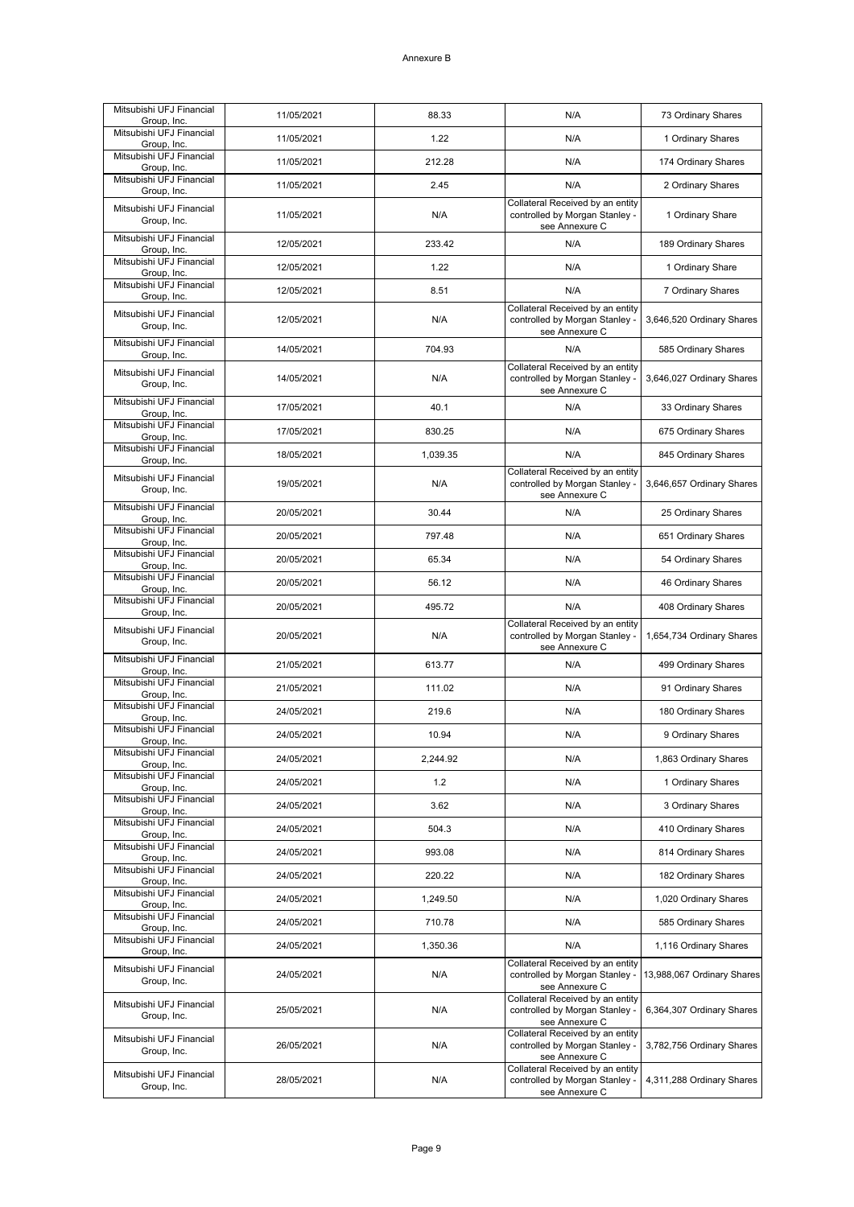| Mitsubishi UFJ Financial<br>Group, Inc. | 11/05/2021 | 88.33    | N/A                                                                                  | 73 Ordinary Shares         |
|-----------------------------------------|------------|----------|--------------------------------------------------------------------------------------|----------------------------|
| Mitsubishi UFJ Financial<br>Group, Inc. | 11/05/2021 | 1.22     | N/A                                                                                  | 1 Ordinary Shares          |
| Mitsubishi UFJ Financial<br>Group, Inc. | 11/05/2021 | 212.28   | N/A                                                                                  | 174 Ordinary Shares        |
| Mitsubishi UFJ Financial<br>Group, Inc. | 11/05/2021 | 2.45     | N/A                                                                                  | 2 Ordinary Shares          |
| Mitsubishi UFJ Financial<br>Group, Inc. | 11/05/2021 | N/A      | Collateral Received by an entity<br>controlled by Morgan Stanley -<br>see Annexure C | 1 Ordinary Share           |
| Mitsubishi UFJ Financial<br>Group, Inc. | 12/05/2021 | 233.42   | N/A                                                                                  | 189 Ordinary Shares        |
| Mitsubishi UFJ Financial<br>Group, Inc. | 12/05/2021 | 1.22     | N/A                                                                                  | 1 Ordinary Share           |
| Mitsubishi UFJ Financial<br>Group, Inc. | 12/05/2021 | 8.51     | N/A                                                                                  | 7 Ordinary Shares          |
| Mitsubishi UFJ Financial<br>Group, Inc. | 12/05/2021 | N/A      | Collateral Received by an entity<br>controlled by Morgan Stanley -<br>see Annexure C | 3,646,520 Ordinary Shares  |
| Mitsubishi UFJ Financial<br>Group, Inc. | 14/05/2021 | 704.93   | N/A                                                                                  | 585 Ordinary Shares        |
| Mitsubishi UFJ Financial<br>Group, Inc. | 14/05/2021 | N/A      | Collateral Received by an entity<br>controlled by Morgan Stanley -<br>see Annexure C | 3,646,027 Ordinary Shares  |
| Mitsubishi UFJ Financial<br>Group, Inc. | 17/05/2021 | 40.1     | N/A                                                                                  | 33 Ordinary Shares         |
| Mitsubishi UFJ Financial<br>Group, Inc. | 17/05/2021 | 830.25   | N/A                                                                                  | 675 Ordinary Shares        |
| Mitsubishi UFJ Financial<br>Group, Inc. | 18/05/2021 | 1,039.35 | N/A                                                                                  | 845 Ordinary Shares        |
| Mitsubishi UFJ Financial<br>Group, Inc. | 19/05/2021 | N/A      | Collateral Received by an entity<br>controlled by Morgan Stanley -<br>see Annexure C | 3,646,657 Ordinary Shares  |
| Mitsubishi UFJ Financial<br>Group, Inc. | 20/05/2021 | 30.44    | N/A                                                                                  | 25 Ordinary Shares         |
| Mitsubishi UFJ Financial<br>Group, Inc. | 20/05/2021 | 797.48   | N/A                                                                                  | 651 Ordinary Shares        |
| Mitsubishi UFJ Financial<br>Group, Inc. | 20/05/2021 | 65.34    | N/A                                                                                  | 54 Ordinary Shares         |
| Mitsubishi UFJ Financial<br>Group, Inc. | 20/05/2021 | 56.12    | N/A                                                                                  | 46 Ordinary Shares         |
| Mitsubishi UFJ Financial<br>Group, Inc. | 20/05/2021 | 495.72   | N/A                                                                                  | 408 Ordinary Shares        |
| Mitsubishi UFJ Financial<br>Group, Inc. | 20/05/2021 | N/A      | Collateral Received by an entity<br>controlled by Morgan Stanley -<br>see Annexure C | 1,654,734 Ordinary Shares  |
| Mitsubishi UFJ Financial<br>Group, Inc. | 21/05/2021 | 613.77   | N/A                                                                                  | 499 Ordinary Shares        |
| Mitsubishi UFJ Financial<br>Group, Inc. | 21/05/2021 | 111.02   | N/A                                                                                  | 91 Ordinary Shares         |
| Mitsubishi UFJ Financial<br>Group, Inc. | 24/05/2021 | 219.6    | N/A                                                                                  | 180 Ordinary Shares        |
| Mitsubishi UFJ Financial<br>Group, Inc. | 24/05/2021 | 10.94    | N/A                                                                                  | 9 Ordinary Shares          |
| Mitsubishi UFJ Financial<br>Group, Inc. | 24/05/2021 | 2,244.92 | N/A                                                                                  | 1,863 Ordinary Shares      |
| Mitsubishi UFJ Financial<br>Group, Inc. | 24/05/2021 | 1.2      | N/A                                                                                  | 1 Ordinary Shares          |
| Mitsubishi UFJ Financial<br>Group, Inc. | 24/05/2021 | 3.62     | N/A                                                                                  | 3 Ordinary Shares          |
| Mitsubishi UFJ Financial<br>Group, Inc. | 24/05/2021 | 504.3    | N/A                                                                                  | 410 Ordinary Shares        |
| Mitsubishi UFJ Financial<br>Group, Inc. | 24/05/2021 | 993.08   | N/A                                                                                  | 814 Ordinary Shares        |
| Mitsubishi UFJ Financial<br>Group, Inc. | 24/05/2021 | 220.22   | N/A                                                                                  | 182 Ordinary Shares        |
| Mitsubishi UFJ Financial<br>Group, Inc. | 24/05/2021 | 1,249.50 | N/A                                                                                  | 1,020 Ordinary Shares      |
| Mitsubishi UFJ Financial<br>Group, Inc. | 24/05/2021 | 710.78   | N/A                                                                                  | 585 Ordinary Shares        |
| Mitsubishi UFJ Financial<br>Group, Inc. | 24/05/2021 | 1,350.36 | N/A                                                                                  | 1,116 Ordinary Shares      |
| Mitsubishi UFJ Financial<br>Group, Inc. | 24/05/2021 | N/A      | Collateral Received by an entity<br>controlled by Morgan Stanley -<br>see Annexure C | 13,988,067 Ordinary Shares |
| Mitsubishi UFJ Financial<br>Group, Inc. | 25/05/2021 | N/A      | Collateral Received by an entity<br>controlled by Morgan Stanley -<br>see Annexure C | 6,364,307 Ordinary Shares  |
| Mitsubishi UFJ Financial<br>Group, Inc. | 26/05/2021 | N/A      | Collateral Received by an entity<br>controlled by Morgan Stanley -<br>see Annexure C | 3,782,756 Ordinary Shares  |
| Mitsubishi UFJ Financial<br>Group, Inc. | 28/05/2021 | N/A      | Collateral Received by an entity<br>controlled by Morgan Stanley -<br>see Annexure C | 4,311,288 Ordinary Shares  |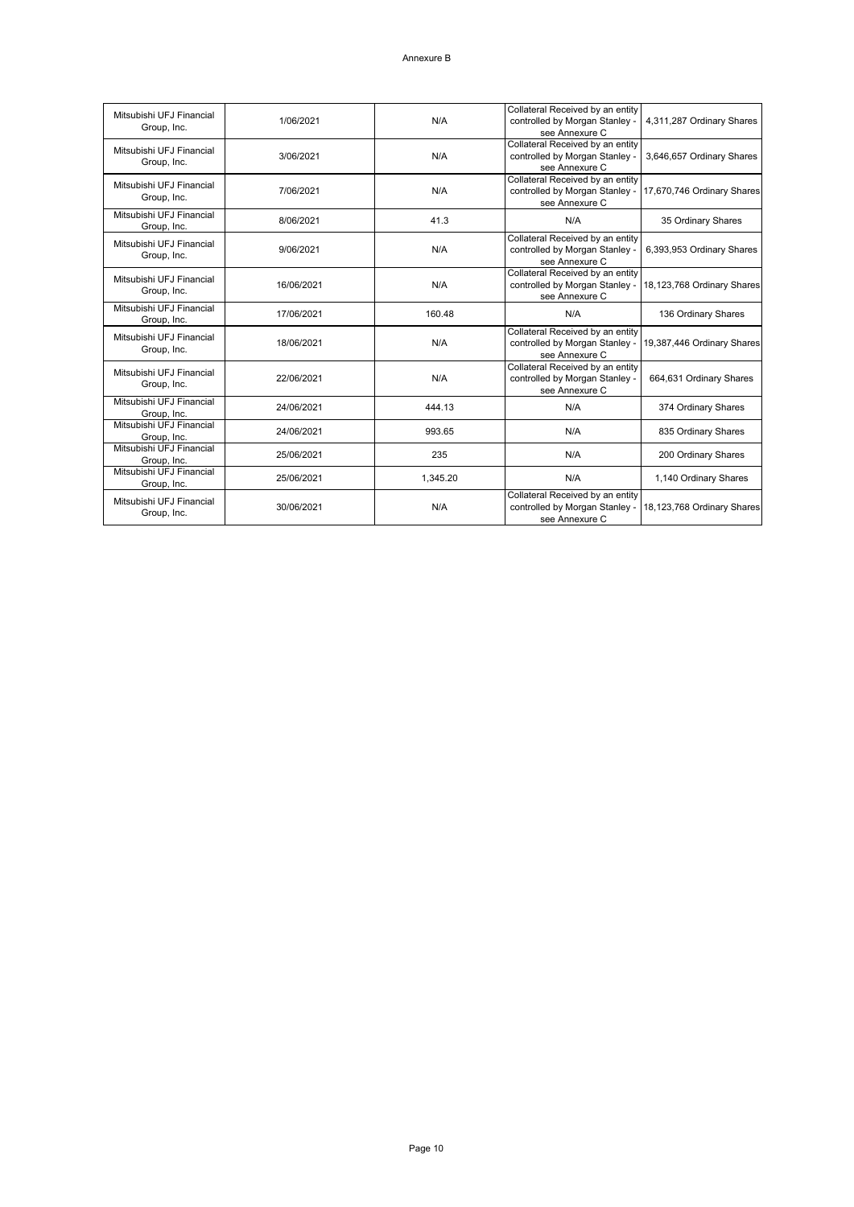| Mitsubishi UFJ Financial<br>Group, Inc. | 1/06/2021  | N/A      | Collateral Received by an entity<br>controlled by Morgan Stanley -<br>see Annexure C | 4,311,287 Ordinary Shares  |
|-----------------------------------------|------------|----------|--------------------------------------------------------------------------------------|----------------------------|
| Mitsubishi UFJ Financial<br>Group, Inc. | 3/06/2021  | N/A      | Collateral Received by an entity<br>controlled by Morgan Stanley -<br>see Annexure C | 3,646,657 Ordinary Shares  |
| Mitsubishi UFJ Financial<br>Group, Inc. | 7/06/2021  | N/A      | Collateral Received by an entity<br>controlled by Morgan Stanley -<br>see Annexure C | 17,670,746 Ordinary Shares |
| Mitsubishi UFJ Financial<br>Group, Inc. | 8/06/2021  | 41.3     | N/A                                                                                  | 35 Ordinary Shares         |
| Mitsubishi UFJ Financial<br>Group, Inc. | 9/06/2021  | N/A      | Collateral Received by an entity<br>controlled by Morgan Stanley -<br>see Annexure C | 6,393,953 Ordinary Shares  |
| Mitsubishi UFJ Financial<br>Group, Inc. | 16/06/2021 | N/A      | Collateral Received by an entity<br>controlled by Morgan Stanley -<br>see Annexure C | 18,123,768 Ordinary Shares |
| Mitsubishi UFJ Financial<br>Group, Inc. | 17/06/2021 | 160.48   | N/A                                                                                  | 136 Ordinary Shares        |
| Mitsubishi UFJ Financial<br>Group, Inc. | 18/06/2021 | N/A      | Collateral Received by an entity<br>controlled by Morgan Stanley -<br>see Annexure C | 19,387,446 Ordinary Shares |
| Mitsubishi UFJ Financial<br>Group, Inc. | 22/06/2021 | N/A      | Collateral Received by an entity<br>controlled by Morgan Stanley -<br>see Annexure C | 664,631 Ordinary Shares    |
| Mitsubishi UFJ Financial<br>Group, Inc. | 24/06/2021 | 444.13   | N/A                                                                                  | 374 Ordinary Shares        |
| Mitsubishi UFJ Financial<br>Group, Inc. | 24/06/2021 | 993.65   | N/A                                                                                  | 835 Ordinary Shares        |
| Mitsubishi UFJ Financial<br>Group, Inc. | 25/06/2021 | 235      | N/A                                                                                  | 200 Ordinary Shares        |
| Mitsubishi UFJ Financial<br>Group, Inc. | 25/06/2021 | 1,345.20 | N/A                                                                                  | 1,140 Ordinary Shares      |
| Mitsubishi UFJ Financial<br>Group, Inc. | 30/06/2021 | N/A      | Collateral Received by an entity<br>controlled by Morgan Stanley -<br>see Annexure C | 18,123,768 Ordinary Shares |